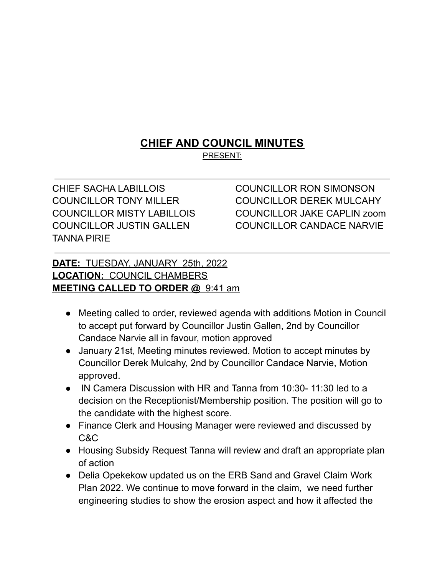## **CHIEF AND COUNCIL MINUTES**

PRESENT:

CHIEF SACHA LABILLOIS COUNCILLOR RON SIMONSON TANNA PIRIE

COUNCILLOR TONY MILLER COUNCILLOR DEREK MULCAHY COUNCILLOR MISTY LABILLOIS COUNCILLOR JAKE CAPLIN zoom COUNCILLOR JUSTIN GALLEN COUNCILLOR CANDACE NARVIE

## **DATE:** TUESDAY, JANUARY 25th, 2022 **LOCATION:** COUNCIL CHAMBERS **MEETING CALLED TO ORDER @** 9:41 am

- Meeting called to order, reviewed agenda with additions Motion in Council to accept put forward by Councillor Justin Gallen, 2nd by Councillor Candace Narvie all in favour, motion approved
- January 21st, Meeting minutes reviewed. Motion to accept minutes by Councillor Derek Mulcahy, 2nd by Councillor Candace Narvie, Motion approved.
- IN Camera Discussion with HR and Tanna from 10:30- 11:30 led to a decision on the Receptionist/Membership position. The position will go to the candidate with the highest score.
- Finance Clerk and Housing Manager were reviewed and discussed by C&C
- Housing Subsidy Request Tanna will review and draft an appropriate plan of action
- Delia Opekekow updated us on the ERB Sand and Gravel Claim Work Plan 2022. We continue to move forward in the claim, we need further engineering studies to show the erosion aspect and how it affected the